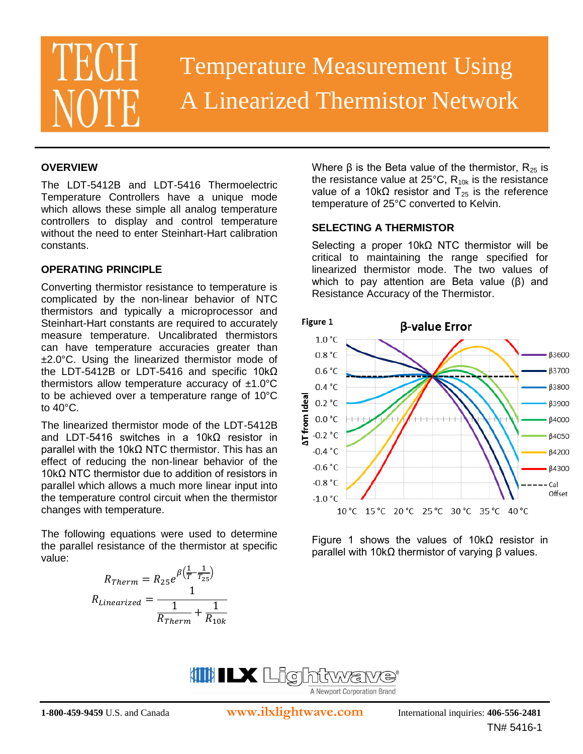# Temperature Measurement Using A Linearized Thermistor Network

### **OVERVIEW**

The LDT-5412B and LDT-5416 Thermoelectric Temperature Controllers have a unique mode which allows these simple all analog temperature controllers to display and control temperature without the need to enter Steinhart-Hart calibration constants.

#### **OPERATING PRINCIPLE**

Converting thermistor resistance to temperature is complicated by the non-linear behavior of NTC thermistors and typically a microprocessor and Steinhart-Hart constants are required to accurately measure temperature. Uncalibrated thermistors can have temperature accuracies greater than ±2.0°C. Using the linearized thermistor mode of the LDT-5412B or LDT-5416 and specific 10kΩ thermistors allow temperature accuracy of  $±1.0^{\circ}C$ to be achieved over a temperature range of 10°C to 40°C.

The linearized thermistor mode of the LDT-5412B and LDT-5416 switches in a 10kΩ resistor in parallel with the 10kΩ NTC thermistor. This has an effect of reducing the non-linear behavior of the 10kΩ NTC thermistor due to addition of resistors in parallel which allows a much more linear input into the temperature control circuit when the thermistor changes with temperature.

The following equations were used to determine the parallel resistance of the thermistor at specific value:

$$
R_{Therm} = R_{25}e^{\beta\left(\frac{1}{T} - \frac{1}{T_{25}}\right)}
$$

$$
R_{Linearized} = \frac{1}{\frac{1}{R_{Therm}} + \frac{1}{R_{10k}}}
$$

Where β is the Beta value of the thermistor,  $R_{25}$  is the resistance value at  $25^{\circ}$ C, R<sub>10k</sub> is the resistance value of a 10kΩ resistor and  $T_{25}$  is the reference temperature of 25°C converted to Kelvin.

#### **SELECTING A THERMISTOR**

Selecting a proper 10kΩ NTC thermistor will be critical to maintaining the range specified for linearized thermistor mode. The two values of which to pay attention are Beta value (β) and Resistance Accuracy of the Thermistor.



Figure 1 shows the values of  $10kΩ$  resistor in parallel with 10kΩ thermistor of varying β values.